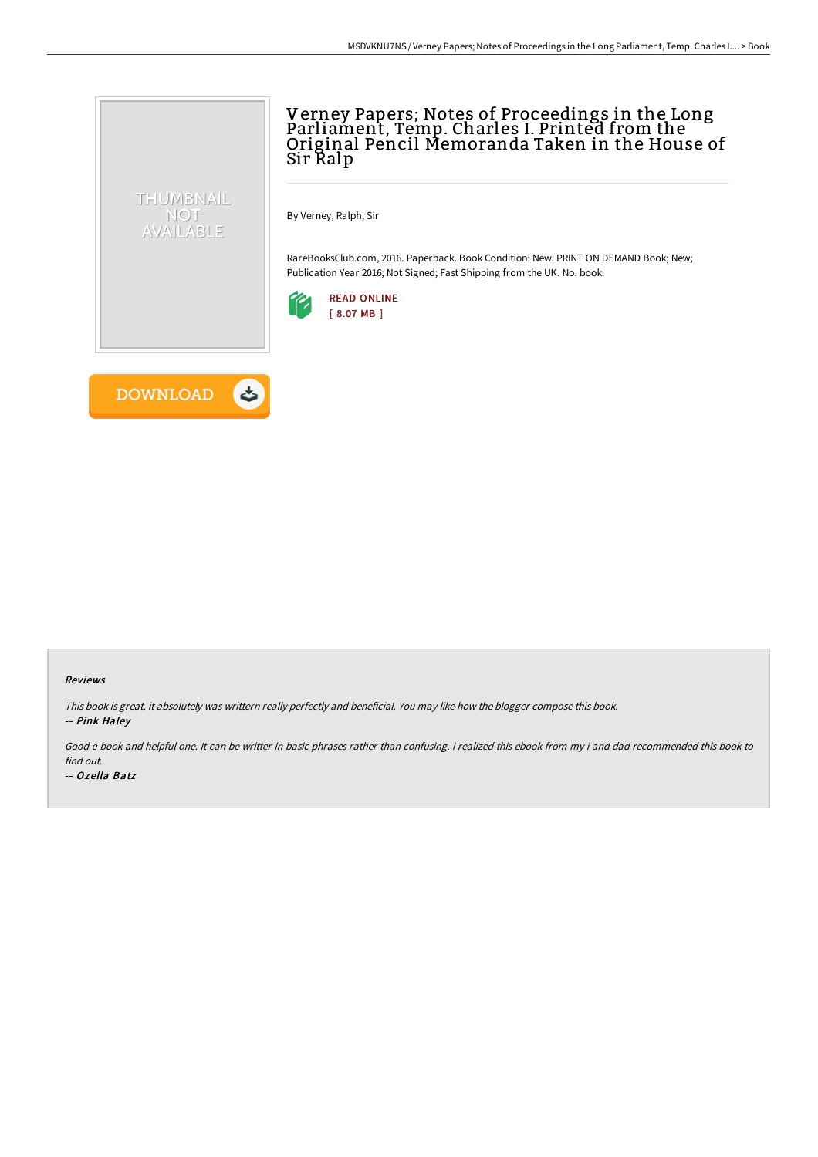# Verney Papers; Notes of Proceedings in the Long Parliament, Temp. Charles I. Printed from the Original Pencil Memoranda Taken in the House of Sir Ralp

By Verney, Ralph, Sir

RareBooksClub.com, 2016. Paperback. Book Condition: New. PRINT ON DEMAND Book; New; Publication Year 2016; Not Signed; Fast Shipping from the UK. No. book.





THUMBNAIL NOT<br>AVAILABLE

#### Reviews

This book is great. it absolutely was writtern really perfectly and beneficial. You may like how the blogger compose this book. -- Pink Haley

Good e-book and helpful one. It can be writter in basic phrases rather than confusing. <sup>I</sup> realized this ebook from my i and dad recommended this book to find out.

-- Ozella Batz